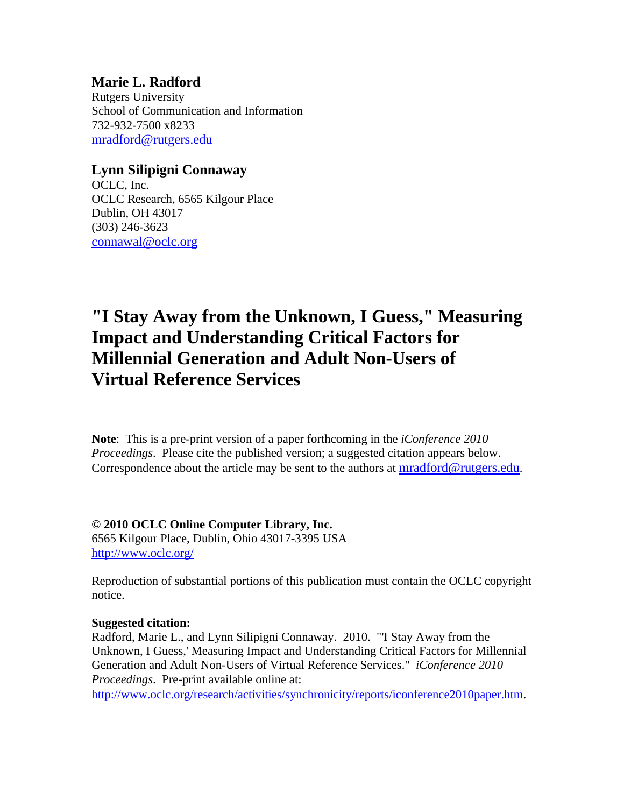# **Marie L. Radford**

Rutgers University School of Communication and Information 732-932-7500 x8233 [mradford@rutgers.edu](mailto:mradford@rutgers.edu)

# **Lynn Silipigni Connaway**

OCLC, Inc. OCLC Research, 6565 Kilgour Place Dublin, OH 43017 (303) 246-3623 [connawal@oclc.org](mailto:connawal@oclc.org)

# **"I Stay Away from the Unknown, I Guess," Measuring Impact and Understanding Critical Factors for Millennial Generation and Adult Non-Users of Virtual Reference Services**

**Note**: This is a pre-print version of a paper forthcoming in the *iConference 2010 Proceedings*. Please cite the published version; a suggested citation appears below. Correspondence about the article may be sent to the authors at [mradford@rutgers.edu.](mailto:mradford@rutgers.edu)

### **© 2010 OCLC Online Computer Library, Inc.**

6565 Kilgour Place, Dublin, Ohio 43017-3395 USA <http://www.oclc.org/>

Reproduction of substantial portions of this publication must contain the OCLC copyright notice.

### **Suggested citation:**

Radford, Marie L., and Lynn Silipigni Connaway. 2010. "'I Stay Away from the Unknown, I Guess,' Measuring Impact and Understanding Critical Factors for Millennial Generation and Adult Non-Users of Virtual Reference Services." *iConference 2010 Proceedings*. Pre-print available online at:

[http://www.oclc.org/research/activities/synchronicity/reports/iconference2010paper.htm.](http://www.oclc.org/research/activities/synchronicity/reports/iconference2010paper.htm)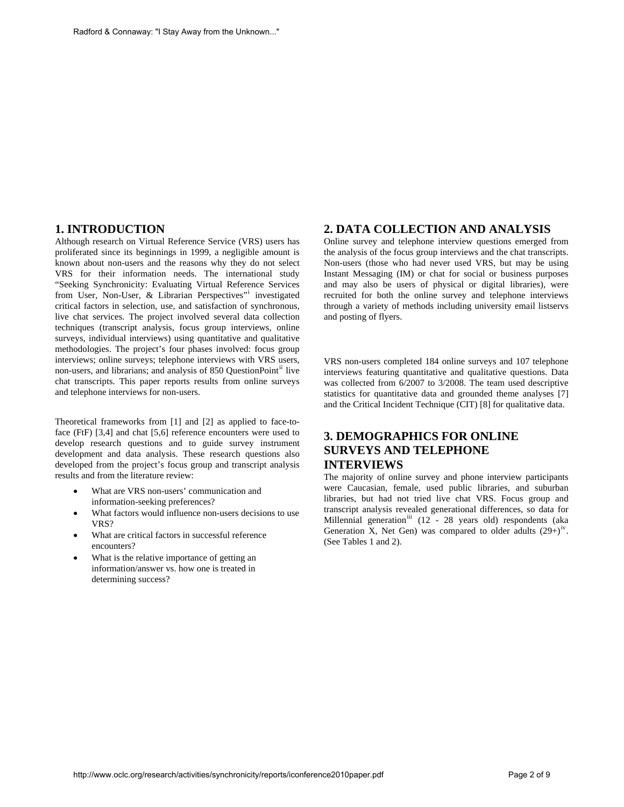### **1. INTRODUCTION**

Although research on Virtual Reference Service (VRS) users has proliferated since its beginnings in 1999, a negligible amount is known about non-users and the reasons why they do not select VRS for their information needs. The international study "Seeking Synchronicity: Evaluating Virtual Reference Services from User, Non-User, & L[i](#page-8-0)brarian Perspectives" investigated critical factors in selection, use, and satisfaction of synchronous, live chat services. The project involved several data collection techniques (transcript analysis, focus group interviews, online surveys, individual interviews) using quantitative and qualitative methodologies. The project's four phases involved: focus group interviews; online surveys; telephone interviews with VRS users, non-users, and librarians; and analysis of 850 QuestionPoint<sup>[ii](#page-8-1)</sup> live chat transcripts. This paper reports results from online surveys and telephone interviews for non-users.

Theoretical frameworks from [1] and [2] as applied to face-toface (FtF) [3,4] and chat [5,6] reference encounters were used to develop research questions and to guide survey instrument development and data analysis. These research questions also developed from the project's focus group and transcript analysis results and from the literature review:

- What are VRS non-users' communication and information-seeking preferences?
- What factors would influence non-users decisions to use VRS?
- What are critical factors in successful reference encounters?
- What is the relative importance of getting an information/answer vs. how one is treated in determining success?

### **2. DATA COLLECTION AND ANALYSIS**

Online survey and telephone interview questions emerged from the analysis of the focus group interviews and the chat transcripts. Non-users (those who had never used VRS, but may be using Instant Messaging (IM) or chat for social or business purposes and may also be users of physical or digital libraries), were recruited for both the online survey and telephone interviews through a variety of methods including university email listservs and posting of flyers.

VRS non-users completed 184 online surveys and 107 telephone interviews featuring quantitative and qualitative questions. Data was collected from 6/2007 to 3/2008. The team used descriptive statistics for quantitative data and grounded theme analyses [7] and the Critical Incident Technique (CIT) [8] for qualitative data.

### **3. DEMOGRAPHICS FOR ONLINE SURVEYS AND TELEPHONE INTERVIEWS**

The majority of online survey and phone interview participants were Caucasian, female, used public libraries, and suburban libraries, but had not tried live chat VRS. Focus group and transcript analysis revealed generational differences, so data for Millennial generation<sup>[iii](#page-8-2)</sup> (12 - 28 years old) respondents (aka Generation X, Net Gen) was compared to older adults  $(29+)$ <sup>[iv](#page-8-3)</sup>. (See Tables 1 and 2).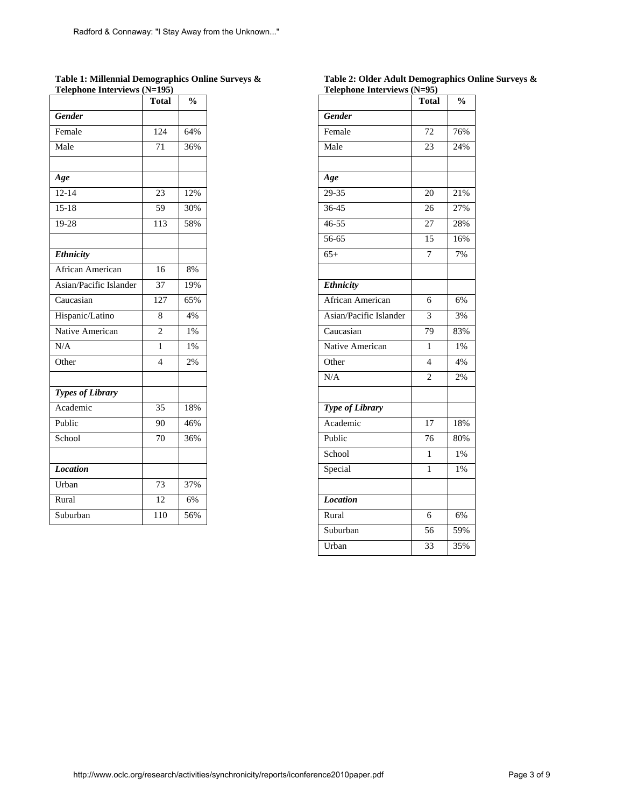#### **Table 1: Millennial Demographics Online Surveys & Telephone Interviews (N=195)**

| лернон                  | <b>Total</b>     | $\overline{\frac{0}{0}}$ |
|-------------------------|------------------|--------------------------|
| Gender                  |                  |                          |
| Female                  | 124              | 64%                      |
| Male                    | $\overline{71}$  | 36%                      |
|                         |                  |                          |
| Age                     |                  |                          |
| $12 - 14$               | $\overline{23}$  | 12%                      |
| $15 - 18$               | 59               | 30%                      |
| $19-28$                 | $\overline{113}$ | 58%                      |
|                         |                  |                          |
| <b>Ethnicity</b>        |                  |                          |
| African American        | 16               | 8%                       |
| Asian/Pacific Islander  | $\overline{37}$  | 19%                      |
| Caucasian               | 127              | 65%                      |
| Hispanic/Latino         | 8                | 4%                       |
| Native American         | $\overline{2}$   | $1\%$                    |
| N/A                     | $\mathbf{1}$     | $1\%$                    |
| Other                   | $\overline{4}$   | 2%                       |
|                         |                  |                          |
| <b>Types of Library</b> |                  |                          |
| Academic                | $\overline{35}$  | 18%                      |
| Public                  | 90               | 46%                      |
| School                  | 70               | 36%                      |
|                         |                  |                          |
| Location                |                  |                          |
| Urban                   | 73               | 37%                      |
| Rural                   | $\overline{12}$  | 6%                       |
| Suburban                | 110              | 56%                      |

| reicphone much views   | ,,,<br><b>Total</b> | $\overline{\mathbf{0}}_{\mathbf{0}}$ |
|------------------------|---------------------|--------------------------------------|
| Gender                 |                     |                                      |
| Female                 | 72                  | 76%                                  |
| Male                   | 23                  | 24%                                  |
|                        |                     |                                      |
| Age                    |                     |                                      |
| $\frac{29-35}{5}$      | 20                  | 21%                                  |
| $36 - 45$              | 26                  | 27%                                  |
| $46 - 55$              | $\overline{27}$     | 28%                                  |
| $\frac{56-65}{5}$      | 15                  | 16%                                  |
| $65+$                  | $\overline{7}$      | 7%                                   |
|                        |                     |                                      |
| <b>Ethnicity</b>       |                     |                                      |
| African American       | 6                   | 6%                                   |
| Asian/Pacific Islander | 3                   | 3%                                   |
| Caucasian              | $\overline{79}$     | 83%                                  |
| Native American        | 1                   | 1%                                   |
| Other                  | $\overline{4}$      | 4%                                   |
| N/A                    | $\overline{c}$      | 2%                                   |
|                        |                     |                                      |
| <b>Type of Library</b> |                     |                                      |
| Academic               | $\overline{17}$     | 18%                                  |
| Public                 | 76                  | 80%                                  |
| School                 | 1                   | 1%                                   |
| Special                | $\mathbf{1}$        | $1\%$                                |
|                        |                     |                                      |
| <b>Location</b>        |                     |                                      |
| Rural                  | 6                   | 6%                                   |
| Suburban               | 56                  | 59%                                  |
| Urban                  | 33                  | 35%                                  |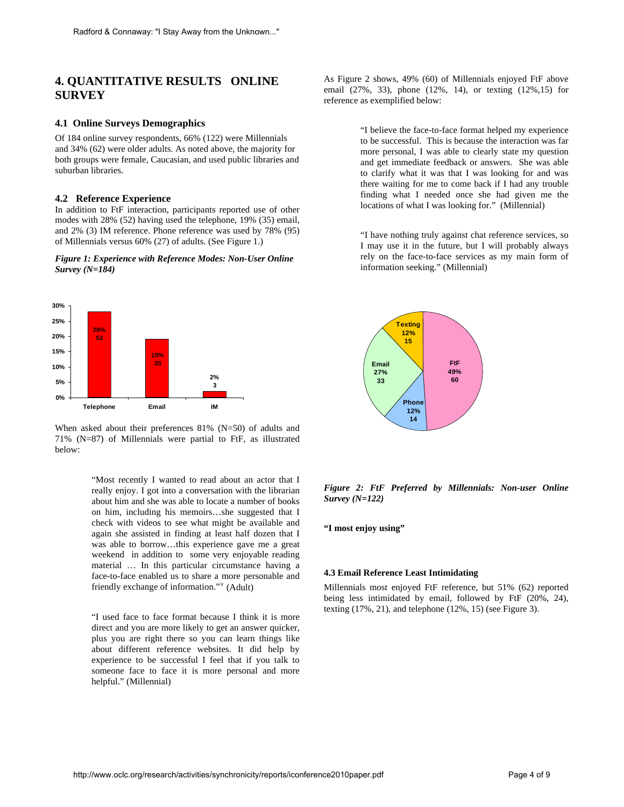### **4. QUANTITATIVE RESULTS ONLINE SURVEY**

#### **4.1 Online Surveys Demographics**

Of 184 online survey respondents, 66% (122) were Millennials and 34% (62) were older adults. As noted above, the majority for both groups were female, Caucasian, and used public libraries and suburban libraries.

#### **4.2 Reference Experience**

In addition to FtF interaction, participants reported use of other modes with 28% (52) having used the telephone, 19% (35) email, and 2% (3) IM reference. Phone reference was used by 78% (95) of Millennials versus 60% (27) of adults. (See Figure 1.)

#### *Figure 1: Experience with Reference Modes: Non-User Online Survey (N=184)*



When asked about their preferences 81% (N=50) of adults and 71% (N=87) of Millennials were partial to FtF, as illustrated below:

"Most recently I wanted to read about an actor that I really enjoy. I got into a conversation with the librarian about him and she was able to locate a number of books on him, including his memoirs…she suggested that I check with videos to see what might be available and again she assisted in finding at least half dozen that I was able to borrow…this experience gave me a great weekend in addition to some very enjoyable reading material … In this particular circumstance having a face-to-face enabled us to share a more personable and friendly exchange of information." (Adult)

"I used face to face format because I think it is more direct and you are more likely to get an answer quicker, plus you are right there so you can learn things like about different reference websites. It did help by experience to be successful I feel that if you talk to someone face to face it is more personal and more helpful." (Millennial)

As Figure 2 shows, 49% (60) of Millennials enjoyed FtF above email (27%, 33), phone (12%, 14), or texting (12%,15) for reference as exemplified below:

> "I believe the face-to-face format helped my experience to be successful. This is because the interaction was far more personal, I was able to clearly state my question and get immediate feedback or answers. She was able to clarify what it was that I was looking for and was there waiting for me to come back if I had any trouble finding what I needed once she had given me the locations of what I was looking for." (Millennial)

> "I have nothing truly against chat reference services, so I may use it in the future, but I will probably always rely on the face-to-face services as my main form of information seeking." (Millennial)



*Figure 2: FtF Preferred by Millennials: Non-user Online Survey (N=122)* 

**"I most enjoy using"** 

#### **4.3 Email Reference Least Intimidating**

Millennials most enjoyed FtF reference, but 51% (62) reported being less intimidated by email, followed by FtF (20%, 24), texting (17%, 21), and telephone (12%, 15) (see Figure 3).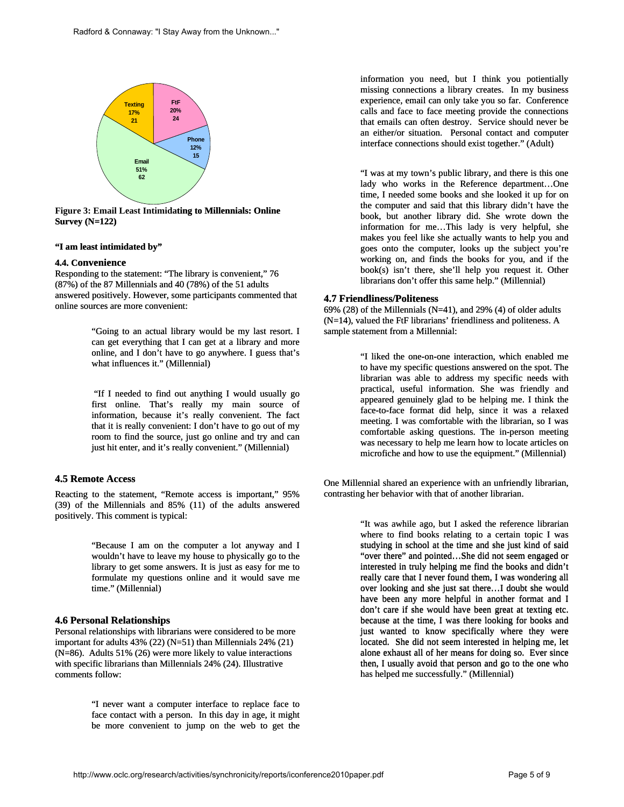

**Figure 3: Email Least Intimidating to Millennials: Online Survey (N=122)** 

#### **"I am least intimidated by by"**

#### **4.4. Convenience**

Responding to the statement: "The library is convenient," 76 (87%) of the 87 Millennials and 40 (78%) of the 51 adults answered positively. However, some participants commented that online sources are more convenient:

> "Going to an actual library would be my last resort. I can get everything that I can get at a library and more online, and I don't have to go anywhere. I guess that's what influences it." (Millennial)

> "If I needed to find out anything I would usually go first online. That's really my main source of first online. That's really my main source of information, because it's really convenient. The fact that it is really convenient: I don't have to go out of my room to find the source, just go online and try and can just hit enter, and it's really convenient." (Millennial)

#### **4.5 Remote Access**

Reacting to the statement, "Remote access is important," 95% (39) of the Millennials and 85% (11) of the adults answered positively. This comment is typical:

> "Because I am on the computer a lot anyway and I wouldn't have to leave my house to physically go to the library to get some answers. It is just as easy for me to formulate my questions online and it would save me time." (Millennial)

#### **4.6 Personal Relationships**

Personal relationships with librarians were considered to be more important for adults  $43\%$  (22) (N=51) than Millennials 24% (21) (N=86). Adults 51% (26) were more likely to value interactions with specific librarians than Millennials 24% (24). Illustrative comments follow:

> "I never want a computer interface to replace face to face contact with a person. In this day in age, it might be more convenient to jump on the web to get the

information you need, but I think you potientially missing connections a library creates. In my business experience, email can only take you so far. Conference calls and face to face meeting provide the connections that emails can often destroy. Service should never be an either/or situation. Personal contact and computer interface connections should exist together." (Adult)

**<sup>62</sup>** "I was at my town's public library, and there is this one lady who works in the Reference department…One time, I needed some books and she looked it up for on the computer and said that this library didn't have the book, but another library did. She wrote down the information for me…This lady is very helpful, she makes you feel like she actually wants to help you and goes onto the computer, looks up the subject you're working on, and finds the books for you, and if the book(s) isn't there, she'll help you request it. Other librarians don't offer this same help." (Millennial)

#### **4.7 Friendliness/Politeness**

69% (28) of the Millennials (N=41), and 29% (4) of older adults (N=14), valued the FtF librarians' friendliness and politeness. A sample statement from a Millennial:

"I liked the one-on-one interaction, which enabled me to have my specific questions answered on the spot. The librarian was able to address my specific needs with practical, useful information. She was friendly and appeared genuinely glad to be helping me. I think the face-to-face format did help, since it was a relaxed meeting. I was comfortable with the librarian, so I was comfortable asking questions. The in-person meeting was necessary to help me learn how to locate articles on microfiche and how to use the equipment." (Millennial) practical, useful information. She was friendly and appeared genuinely glad to be helping me. I think the face-to-face format did help, since it was a relaxed meeting. I was comfortable with the librarian, so I was comfort

contrasting her behavior with that of another librarian.

"It was awhile ago, but I asked the reference librarian where to find books relating to a certain topic I was studying in school at the time and she just kind of said "over there" and pointed…She did not seem engaged or interested in truly helping me find the books and didn't really care that I never found them, I was wondering all over looking and she just sat there…I doubt she would have been any more helpful in another format and I don't care if she would have been great at texting etc. because at the time, I was there looking for books and just wanted to know specifically where they were located. She did not seem interested in helping me, let alone exhaust all of her means for doing so. Ever since then, I usually avoid that person and go to the one who has helped me successfully." (Millennial) Has characterized me successfully. The means of the successfully are connected methods and the successfully. The means of the successfully are the successfully and the successfully and the successfully and the successfull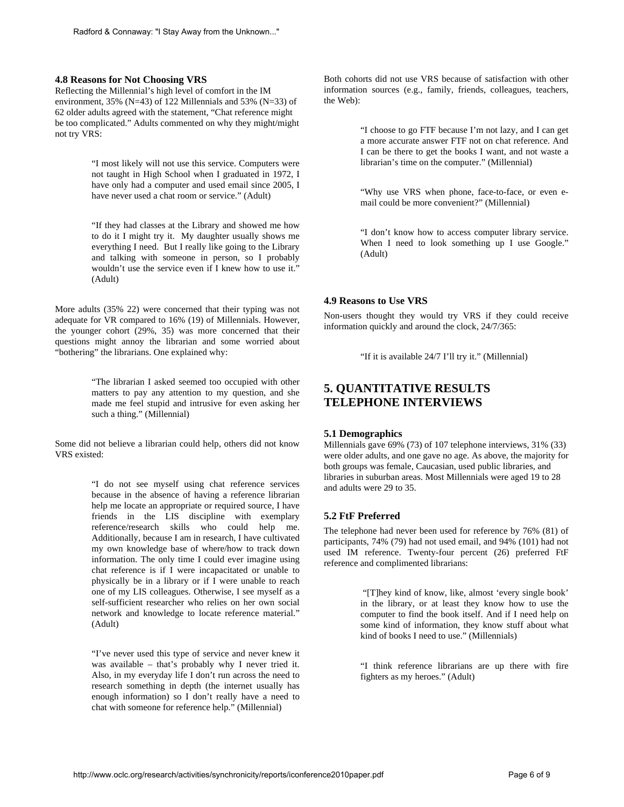#### **4.8 Reasons for Not Choosing VRS**

Reflecting the Millennial's high level of comfort in the IM environment, 35% (N=43) of 122 Millennials and 53% (N=33) of 62 older adults agreed with the statement, "Chat reference might be too complicated." Adults commented on why they might/might not try VRS:

> "I most likely will not use this service. Computers were not taught in High School when I graduated in 1972, I have only had a computer and used email since 2005, I have never used a chat room or service." (Adult)

> "If they had classes at the Library and showed me how to do it I might try it. My daughter usually shows me everything I need. But I really like going to the Library and talking with someone in person, so I probably wouldn't use the service even if I knew how to use it." (Adult)

More adults (35% 22) were concerned that their typing was not adequate for VR compared to 16% (19) of Millennials. However, the younger cohort (29%, 35) was more concerned that their questions might annoy the librarian and some worried about "bothering" the librarians. One explained why:

> "The librarian I asked seemed too occupied with other matters to pay any attention to my question, and she made me feel stupid and intrusive for even asking her such a thing." (Millennial)

Some did not believe a librarian could help, others did not know VRS existed:

> "I do not see myself using chat reference services because in the absence of having a reference librarian help me locate an appropriate or required source, I have friends in the LIS discipline with exemplary reference/research skills who could help me. Additionally, because I am in research, I have cultivated my own knowledge base of where/how to track down information. The only time I could ever imagine using chat reference is if I were incapacitated or unable to physically be in a library or if I were unable to reach one of my LIS colleagues. Otherwise, I see myself as a self-sufficient researcher who relies on her own social network and knowledge to locate reference material." (Adult)

> "I've never used this type of service and never knew it was available – that's probably why I never tried it. Also, in my everyday life I don't run across the need to research something in depth (the internet usually has enough information) so I don't really have a need to chat with someone for reference help." (Millennial)

Both cohorts did not use VRS because of satisfaction with other information sources (e.g., family, friends, colleagues, teachers, the Web):

> "I choose to go FTF because I'm not lazy, and I can get a more accurate answer FTF not on chat reference. And I can be there to get the books I want, and not waste a librarian's time on the computer." (Millennial)

> "Why use VRS when phone, face-to-face, or even email could be more convenient?" (Millennial)

> "I don't know how to access computer library service. When I need to look something up I use Google." (Adult)

#### **4.9 Reasons to Use VRS**

Non-users thought they would try VRS if they could receive information quickly and around the clock, 24/7/365:

"If it is available 24/7 I'll try it." (Millennial)

### **5. QUANTITATIVE RESULTS TELEPHONE INTERVIEWS**

#### **5.1 Demographics**

Millennials gave 69% (73) of 107 telephone interviews, 31% (33) were older adults, and one gave no age. As above, the majority for both groups was female, Caucasian, used public libraries, and libraries in suburban areas. Most Millennials were aged 19 to 28 and adults were 29 to 35.

#### **5.2 FtF Preferred**

The telephone had never been used for reference by 76% (81) of participants, 74% (79) had not used email, and 94% (101) had not used IM reference. Twenty-four percent (26) preferred FtF reference and complimented librarians:

> "[T]hey kind of know, like, almost 'every single book' in the library, or at least they know how to use the computer to find the book itself. And if I need help on some kind of information, they know stuff about what kind of books I need to use." (Millennials)

> "I think reference librarians are up there with fire fighters as my heroes." (Adult)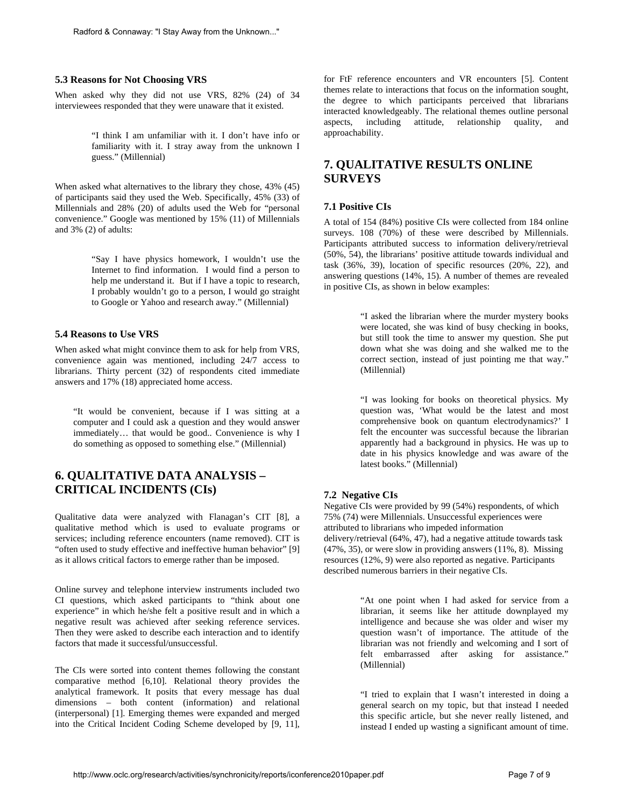#### **5.3 Reasons for Not Choosing VRS**

When asked why they did not use VRS, 82% (24) of 34 interviewees responded that they were unaware that it existed.

> "I think I am unfamiliar with it. I don't have info or familiarity with it. I stray away from the unknown I guess." (Millennial)

When asked what alternatives to the library they chose, 43% (45) of participants said they used the Web. Specifically, 45% (33) of Millennials and 28% (20) of adults used the Web for "personal convenience." Google was mentioned by 15% (11) of Millennials and 3% (2) of adults:

> "Say I have physics homework, I wouldn't use the Internet to find information. I would find a person to help me understand it. But if I have a topic to research, I probably wouldn't go to a person, I would go straight to Google or Yahoo and research away." (Millennial)

#### **5.4 Reasons to Use VRS**

When asked what might convince them to ask for help from VRS, convenience again was mentioned, including 24/7 access to librarians. Thirty percent (32) of respondents cited immediate answers and 17% (18) appreciated home access.

"It would be convenient, because if I was sitting at a computer and I could ask a question and they would answer immediately… that would be good.. Convenience is why I do something as opposed to something else." (Millennial)

### **6. QUALITATIVE DATA ANALYSIS – CRITICAL INCIDENTS (CIs)**

Qualitative data were analyzed with Flanagan's CIT [8], a qualitative method which is used to evaluate programs or services; including reference encounters (name removed). CIT is "often used to study effective and ineffective human behavior" [9] as it allows critical factors to emerge rather than be imposed.

Online survey and telephone interview instruments included two CI questions, which asked participants to "think about one experience" in which he/she felt a positive result and in which a negative result was achieved after seeking reference services. Then they were asked to describe each interaction and to identify factors that made it successful/unsuccessful.

The CIs were sorted into content themes following the constant comparative method [6,10]. Relational theory provides the analytical framework. It posits that every message has dual dimensions – both content (information) and relational (interpersonal) [1]. Emerging themes were expanded and merged into the Critical Incident Coding Scheme developed by [9, 11],

for FtF reference encounters and VR encounters [5]. Content themes relate to interactions that focus on the information sought, the degree to which participants perceived that librarians interacted knowledgeably. The relational themes outline personal aspects, including attitude, relationship quality, and approachability.

### **7. QUALITATIVE RESULTS ONLINE SURVEYS**

#### **7.1 Positive CIs**

A total of 154 (84%) positive CIs were collected from 184 online surveys. 108 (70%) of these were described by Millennials. Participants attributed success to information delivery/retrieval (50%, 54), the librarians' positive attitude towards individual and task (36%, 39), location of specific resources (20%, 22), and answering questions (14%, 15). A number of themes are revealed in positive CIs, as shown in below examples:

> "I asked the librarian where the murder mystery books were located, she was kind of busy checking in books, but still took the time to answer my question. She put down what she was doing and she walked me to the correct section, instead of just pointing me that way." (Millennial)

> "I was looking for books on theoretical physics. My question was, 'What would be the latest and most comprehensive book on quantum electrodynamics?' I felt the encounter was successful because the librarian apparently had a background in physics. He was up to date in his physics knowledge and was aware of the latest books." (Millennial)

#### **7.2 Negative CIs**

Negative CIs were provided by 99 (54%) respondents, of which 75% (74) were Millennials. Unsuccessful experiences were attributed to librarians who impeded information delivery/retrieval (64%, 47), had a negative attitude towards task (47%, 35), or were slow in providing answers (11%, 8). Missing resources (12%, 9) were also reported as negative. Participants described numerous barriers in their negative CIs.

> "At one point when I had asked for service from a librarian, it seems like her attitude downplayed my intelligence and because she was older and wiser my question wasn't of importance. The attitude of the librarian was not friendly and welcoming and I sort of felt embarrassed after asking for assistance." (Millennial)

> "I tried to explain that I wasn't interested in doing a general search on my topic, but that instead I needed this specific article, but she never really listened, and instead I ended up wasting a significant amount of time.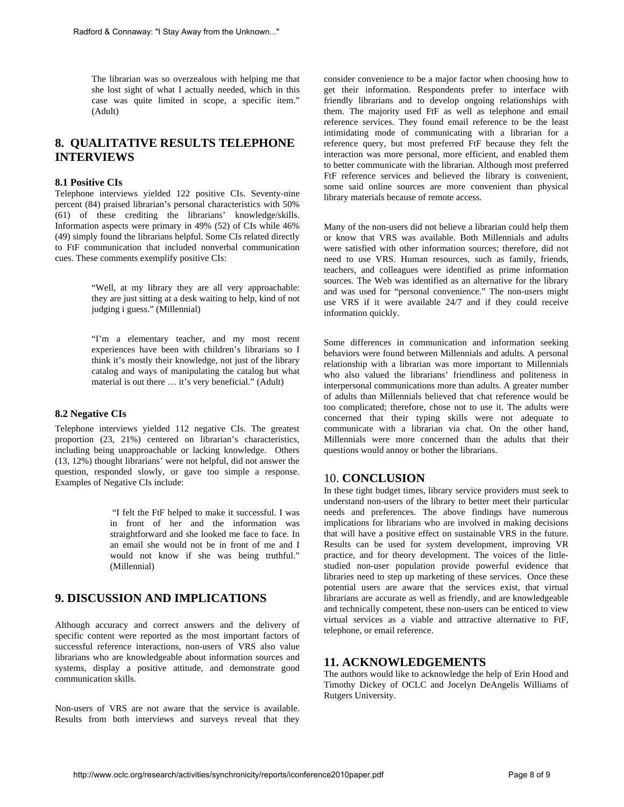The librarian was so overzealous with helping me that she lost sight of what I actually needed, which in this case was quite limited in scope, a specific item." (Adult)

### **8. QUALITATIVE RESULTS TELEPHONE INTERVIEWS**

#### **8.1 Positive CIs**

Telephone interviews yielded 122 positive CIs. Seventy-nine percent (84) praised librarian's personal characteristics with 50% (61) of these crediting the librarians' knowledge/skills. Information aspects were primary in 49% (52) of CIs while 46% (49) simply found the librarians helpful. Some CIs related directly to FtF communication that included nonverbal communication cues. These comments exemplify positive CIs:

> "Well, at my library they are all very approachable: they are just sitting at a desk waiting to help, kind of not judging i guess." (Millennial)

> "I'm a elementary teacher, and my most recent experiences have been with children's librarians so I think it's mostly their knowledge, not just of the library catalog and ways of manipulating the catalog but what material is out there … it's very beneficial." (Adult)

#### **8.2 Negative CIs**

Telephone interviews yielded 112 negative CIs. The greatest proportion (23, 21%) centered on librarian's characteristics, including being unapproachable or lacking knowledge. Others (13, 12%) thought librarians' were not helpful, did not answer the question, responded slowly, or gave too simple a response. Examples of Negative CIs include:

> "I felt the FtF helped to make it successful. I was in front of her and the information was straightforward and she looked me face to face. In an email she would not be in front of me and I would not know if she was being truthful." (Millennial)

### **9. DISCUSSION AND IMPLICATIONS**

Although accuracy and correct answers and the delivery of specific content were reported as the most important factors of successful reference interactions, non-users of VRS also value librarians who are knowledgeable about information sources and systems, display a positive attitude, and demonstrate good communication skills.

Non-users of VRS are not aware that the service is available. Results from both interviews and surveys reveal that they consider convenience to be a major factor when choosing how to get their information. Respondents prefer to interface with friendly librarians and to develop ongoing relationships with them. The majority used FtF as well as telephone and email reference services. They found email reference to be the least intimidating mode of communicating with a librarian for a reference query, but most preferred FtF because they felt the interaction was more personal, more efficient, and enabled them to better communicate with the librarian. Although most preferred FtF reference services and believed the library is convenient, some said online sources are more convenient than physical library materials because of remote access.

Many of the non-users did not believe a librarian could help them or know that VRS was available. Both Millennials and adults were satisfied with other information sources; therefore, did not need to use VRS. Human resources, such as family, friends, teachers, and colleagues were identified as prime information sources. The Web was identified as an alternative for the library and was used for "personal convenience." The non-users might use VRS if it were available 24/7 and if they could receive information quickly.

Some differences in communication and information seeking behaviors were found between Millennials and adults. A personal relationship with a librarian was more important to Millennials who also valued the librarians' friendliness and politeness in interpersonal communications more than adults. A greater number of adults than Millennials believed that chat reference would be too complicated; therefore, chose not to use it. The adults were concerned that their typing skills were not adequate to communicate with a librarian via chat. On the other hand, Millennials were more concerned than the adults that their questions would annoy or bother the librarians.

#### 10. **CONCLUSION**

In these tight budget times, library service providers must seek to understand non-users of the library to better meet their particular needs and preferences. The above findings have numerous implications for librarians who are involved in making decisions that will have a positive effect on sustainable VRS in the future. Results can be used for system development, improving VR practice, and for theory development. The voices of the littlestudied non-user population provide powerful evidence that libraries need to step up marketing of these services. Once these potential users are aware that the services exist, that virtual librarians are accurate as well as friendly, and are knowledgeable and technically competent, these non-users can be enticed to view virtual services as a viable and attractive alternative to FtF, telephone, or email reference.

### **11. ACKNOWLEDGEMENTS**

The authors would like to acknowledge the help of Erin Hood and Timothy Dickey of OCLC and Jocelyn DeAngelis Williams of Rutgers University.